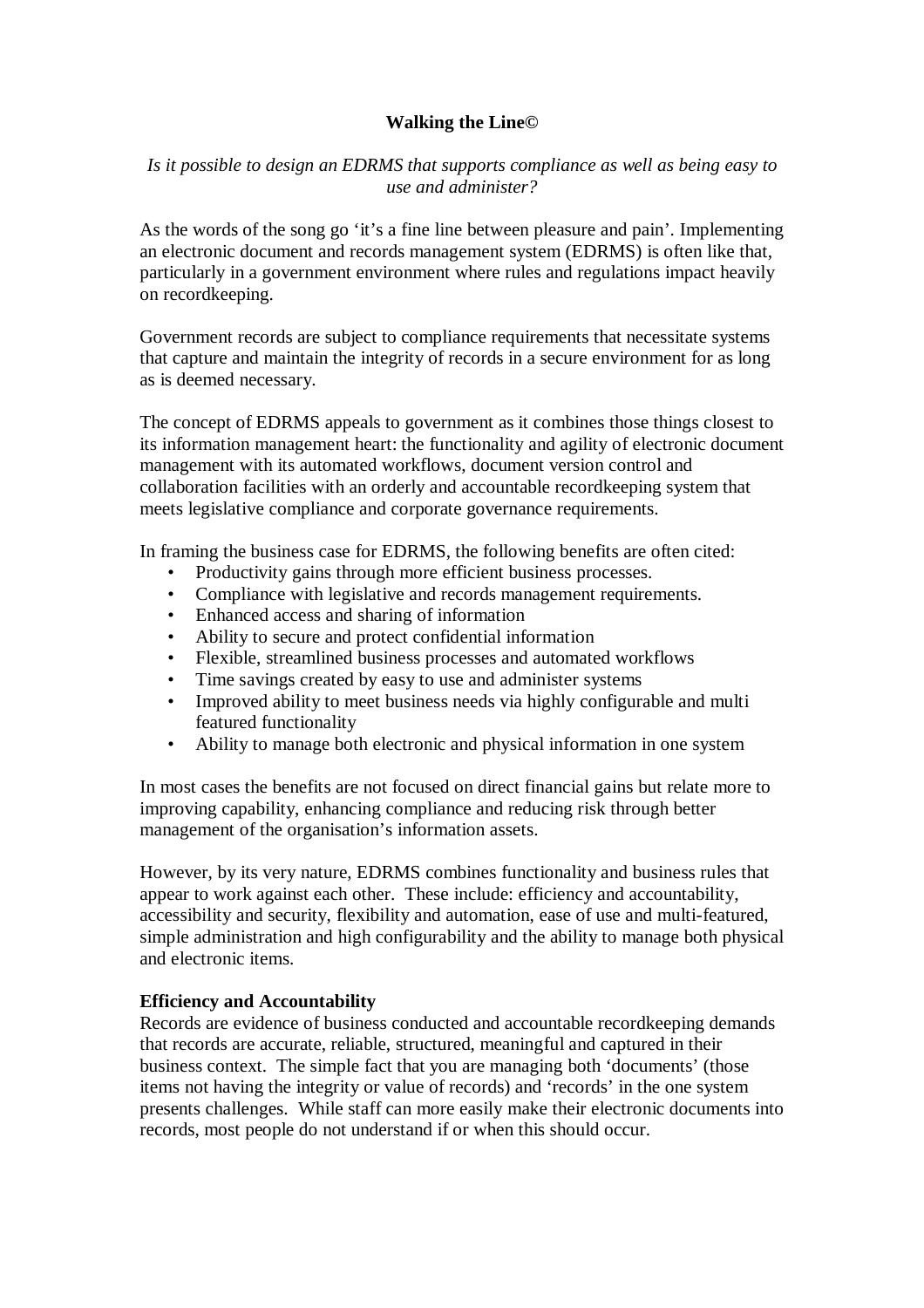# **Walking the Line©**

*Is it possible to design an EDRMS that supports compliance as well as being easy to use and administer?* 

As the words of the song go 'it's a fine line between pleasure and pain'. Implementing an electronic document and records management system (EDRMS) is often like that, particularly in a government environment where rules and regulations impact heavily on recordkeeping.

Government records are subject to compliance requirements that necessitate systems that capture and maintain the integrity of records in a secure environment for as long as is deemed necessary.

The concept of EDRMS appeals to government as it combines those things closest to its information management heart: the functionality and agility of electronic document management with its automated workflows, document version control and collaboration facilities with an orderly and accountable recordkeeping system that meets legislative compliance and corporate governance requirements.

In framing the business case for EDRMS, the following benefits are often cited:

- Productivity gains through more efficient business processes.
- Compliance with legislative and records management requirements.
- Enhanced access and sharing of information
- Ability to secure and protect confidential information
- Flexible, streamlined business processes and automated workflows
- Time savings created by easy to use and administer systems
- Improved ability to meet business needs via highly configurable and multi featured functionality
- Ability to manage both electronic and physical information in one system

In most cases the benefits are not focused on direct financial gains but relate more to improving capability, enhancing compliance and reducing risk through better management of the organisation's information assets.

However, by its very nature, EDRMS combines functionality and business rules that appear to work against each other. These include: efficiency and accountability, accessibility and security, flexibility and automation, ease of use and multi-featured, simple administration and high configurability and the ability to manage both physical and electronic items.

# **Efficiency and Accountability**

Records are evidence of business conducted and accountable recordkeeping demands that records are accurate, reliable, structured, meaningful and captured in their business context. The simple fact that you are managing both 'documents' (those items not having the integrity or value of records) and 'records' in the one system presents challenges. While staff can more easily make their electronic documents into records, most people do not understand if or when this should occur.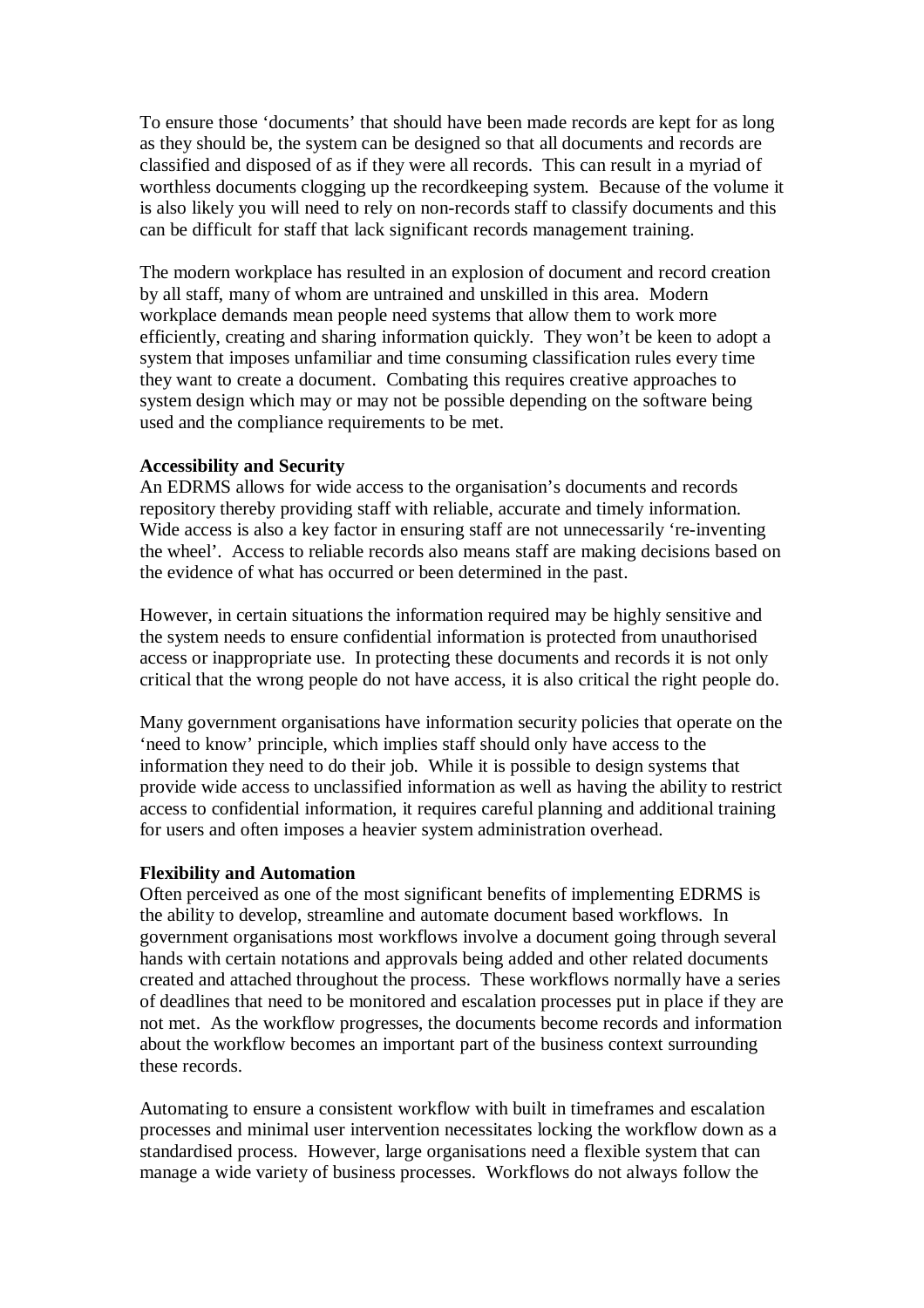To ensure those 'documents' that should have been made records are kept for as long as they should be, the system can be designed so that all documents and records are classified and disposed of as if they were all records. This can result in a myriad of worthless documents clogging up the recordkeeping system. Because of the volume it is also likely you will need to rely on non-records staff to classify documents and this can be difficult for staff that lack significant records management training.

The modern workplace has resulted in an explosion of document and record creation by all staff, many of whom are untrained and unskilled in this area. Modern workplace demands mean people need systems that allow them to work more efficiently, creating and sharing information quickly. They won't be keen to adopt a system that imposes unfamiliar and time consuming classification rules every time they want to create a document. Combating this requires creative approaches to system design which may or may not be possible depending on the software being used and the compliance requirements to be met.

#### **Accessibility and Security**

An EDRMS allows for wide access to the organisation's documents and records repository thereby providing staff with reliable, accurate and timely information. Wide access is also a key factor in ensuring staff are not unnecessarily 're-inventing the wheel'. Access to reliable records also means staff are making decisions based on the evidence of what has occurred or been determined in the past.

However, in certain situations the information required may be highly sensitive and the system needs to ensure confidential information is protected from unauthorised access or inappropriate use. In protecting these documents and records it is not only critical that the wrong people do not have access, it is also critical the right people do.

Many government organisations have information security policies that operate on the 'need to know' principle, which implies staff should only have access to the information they need to do their job. While it is possible to design systems that provide wide access to unclassified information as well as having the ability to restrict access to confidential information, it requires careful planning and additional training for users and often imposes a heavier system administration overhead.

#### **Flexibility and Automation**

Often perceived as one of the most significant benefits of implementing EDRMS is the ability to develop, streamline and automate document based workflows. In government organisations most workflows involve a document going through several hands with certain notations and approvals being added and other related documents created and attached throughout the process. These workflows normally have a series of deadlines that need to be monitored and escalation processes put in place if they are not met. As the workflow progresses, the documents become records and information about the workflow becomes an important part of the business context surrounding these records.

Automating to ensure a consistent workflow with built in timeframes and escalation processes and minimal user intervention necessitates locking the workflow down as a standardised process. However, large organisations need a flexible system that can manage a wide variety of business processes. Workflows do not always follow the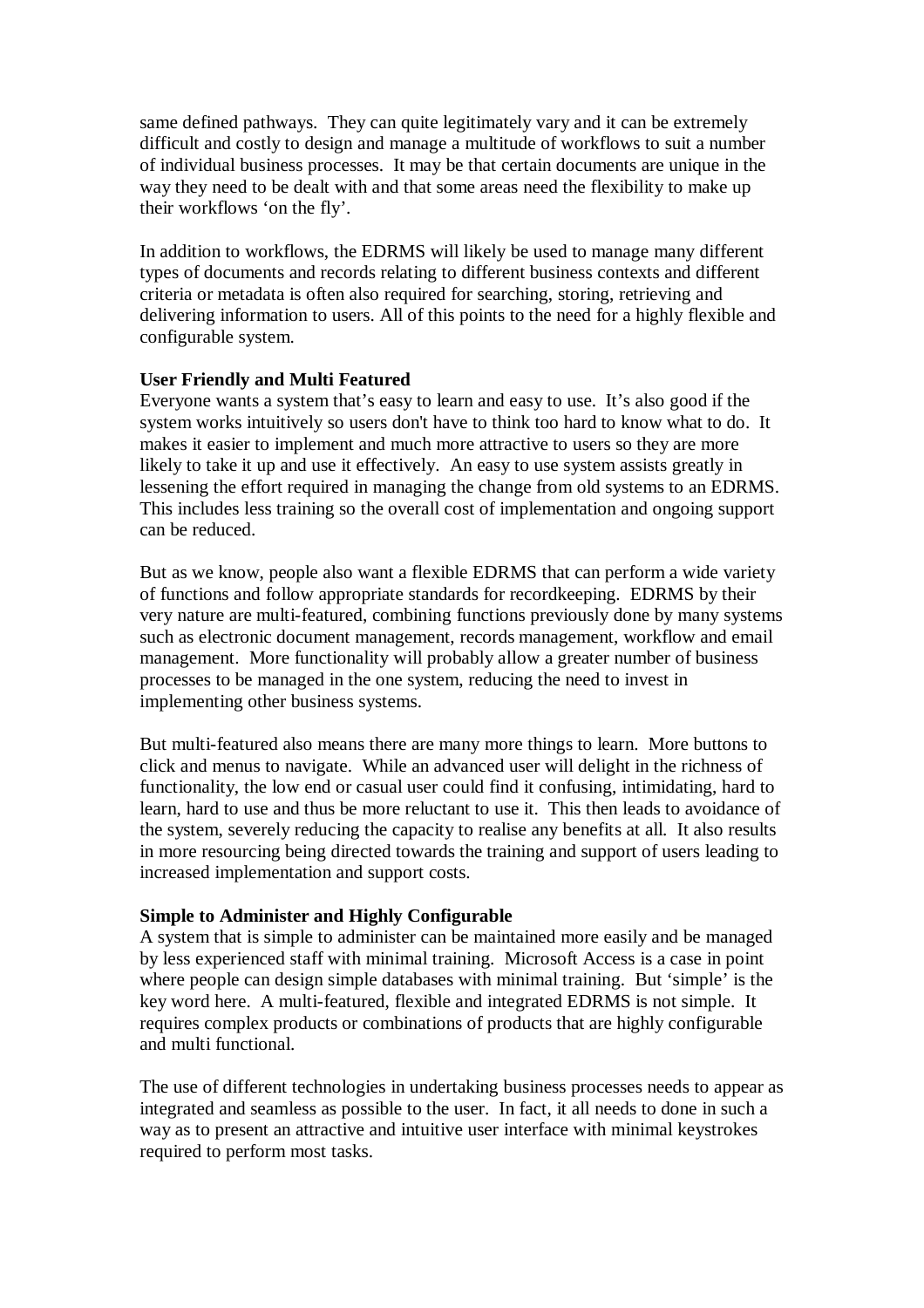same defined pathways. They can quite legitimately vary and it can be extremely difficult and costly to design and manage a multitude of workflows to suit a number of individual business processes. It may be that certain documents are unique in the way they need to be dealt with and that some areas need the flexibility to make up their workflows 'on the fly'.

In addition to workflows, the EDRMS will likely be used to manage many different types of documents and records relating to different business contexts and different criteria or metadata is often also required for searching, storing, retrieving and delivering information to users. All of this points to the need for a highly flexible and configurable system.

# **User Friendly and Multi Featured**

Everyone wants a system that's easy to learn and easy to use. It's also good if the system works intuitively so users don't have to think too hard to know what to do. It makes it easier to implement and much more attractive to users so they are more likely to take it up and use it effectively. An easy to use system assists greatly in lessening the effort required in managing the change from old systems to an EDRMS. This includes less training so the overall cost of implementation and ongoing support can be reduced.

But as we know, people also want a flexible EDRMS that can perform a wide variety of functions and follow appropriate standards for recordkeeping. EDRMS by their very nature are multi-featured, combining functions previously done by many systems such as electronic document management, records management, workflow and email management. More functionality will probably allow a greater number of business processes to be managed in the one system, reducing the need to invest in implementing other business systems.

But multi-featured also means there are many more things to learn. More buttons to click and menus to navigate. While an advanced user will delight in the richness of functionality, the low end or casual user could find it confusing, intimidating, hard to learn, hard to use and thus be more reluctant to use it. This then leads to avoidance of the system, severely reducing the capacity to realise any benefits at all. It also results in more resourcing being directed towards the training and support of users leading to increased implementation and support costs.

# **Simple to Administer and Highly Configurable**

A system that is simple to administer can be maintained more easily and be managed by less experienced staff with minimal training. Microsoft Access is a case in point where people can design simple databases with minimal training. But 'simple' is the key word here. A multi-featured, flexible and integrated EDRMS is not simple. It requires complex products or combinations of products that are highly configurable and multi functional.

The use of different technologies in undertaking business processes needs to appear as integrated and seamless as possible to the user. In fact, it all needs to done in such a way as to present an attractive and intuitive user interface with minimal keystrokes required to perform most tasks.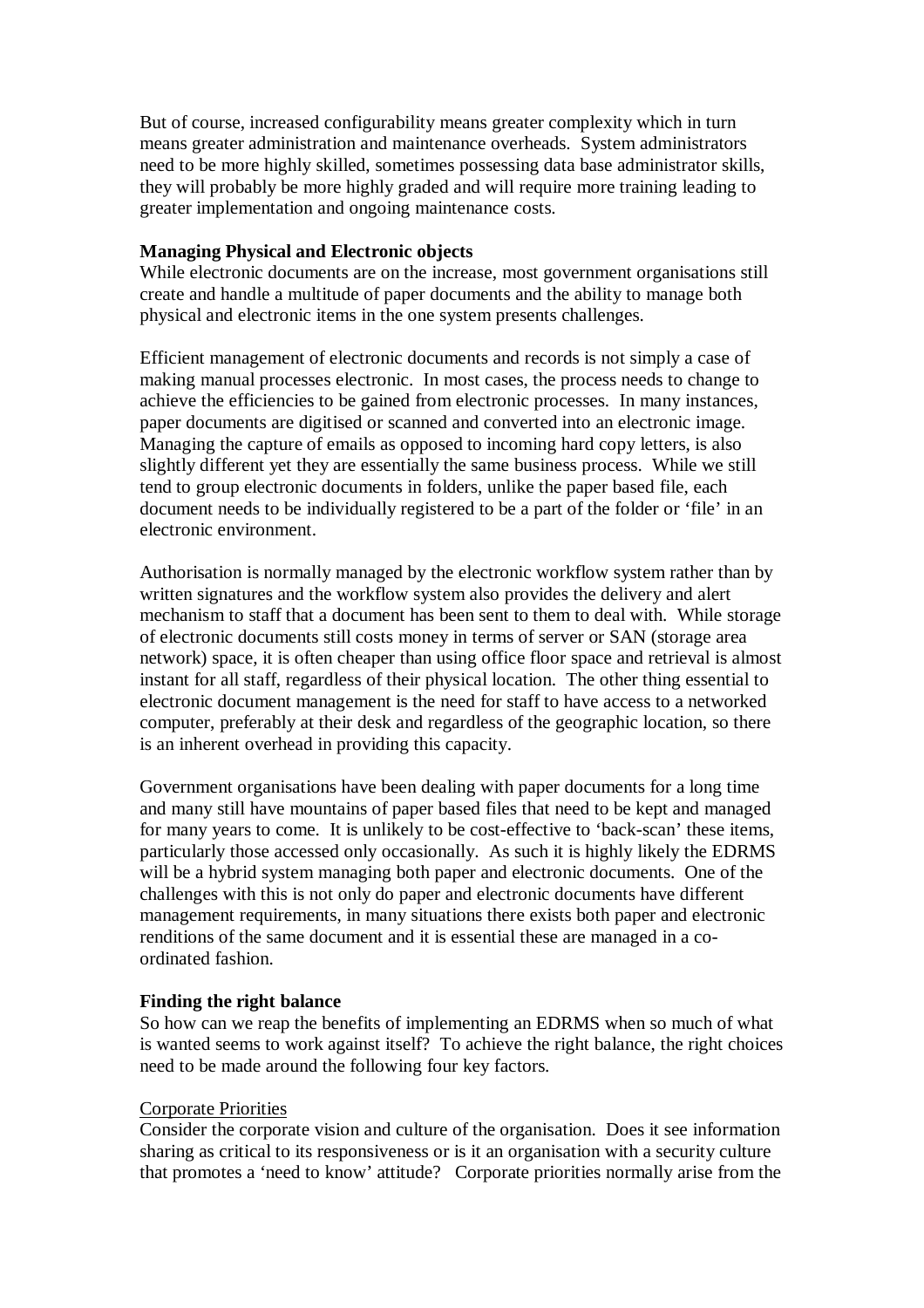But of course, increased configurability means greater complexity which in turn means greater administration and maintenance overheads. System administrators need to be more highly skilled, sometimes possessing data base administrator skills, they will probably be more highly graded and will require more training leading to greater implementation and ongoing maintenance costs.

### **Managing Physical and Electronic objects**

While electronic documents are on the increase, most government organisations still create and handle a multitude of paper documents and the ability to manage both physical and electronic items in the one system presents challenges.

Efficient management of electronic documents and records is not simply a case of making manual processes electronic. In most cases, the process needs to change to achieve the efficiencies to be gained from electronic processes. In many instances, paper documents are digitised or scanned and converted into an electronic image. Managing the capture of emails as opposed to incoming hard copy letters, is also slightly different yet they are essentially the same business process. While we still tend to group electronic documents in folders, unlike the paper based file, each document needs to be individually registered to be a part of the folder or 'file' in an electronic environment.

Authorisation is normally managed by the electronic workflow system rather than by written signatures and the workflow system also provides the delivery and alert mechanism to staff that a document has been sent to them to deal with. While storage of electronic documents still costs money in terms of server or SAN (storage area network) space, it is often cheaper than using office floor space and retrieval is almost instant for all staff, regardless of their physical location. The other thing essential to electronic document management is the need for staff to have access to a networked computer, preferably at their desk and regardless of the geographic location, so there is an inherent overhead in providing this capacity.

Government organisations have been dealing with paper documents for a long time and many still have mountains of paper based files that need to be kept and managed for many years to come. It is unlikely to be cost-effective to 'back-scan' these items, particularly those accessed only occasionally. As such it is highly likely the EDRMS will be a hybrid system managing both paper and electronic documents. One of the challenges with this is not only do paper and electronic documents have different management requirements, in many situations there exists both paper and electronic renditions of the same document and it is essential these are managed in a coordinated fashion.

#### **Finding the right balance**

So how can we reap the benefits of implementing an EDRMS when so much of what is wanted seems to work against itself? To achieve the right balance, the right choices need to be made around the following four key factors.

#### Corporate Priorities

Consider the corporate vision and culture of the organisation. Does it see information sharing as critical to its responsiveness or is it an organisation with a security culture that promotes a 'need to know' attitude? Corporate priorities normally arise from the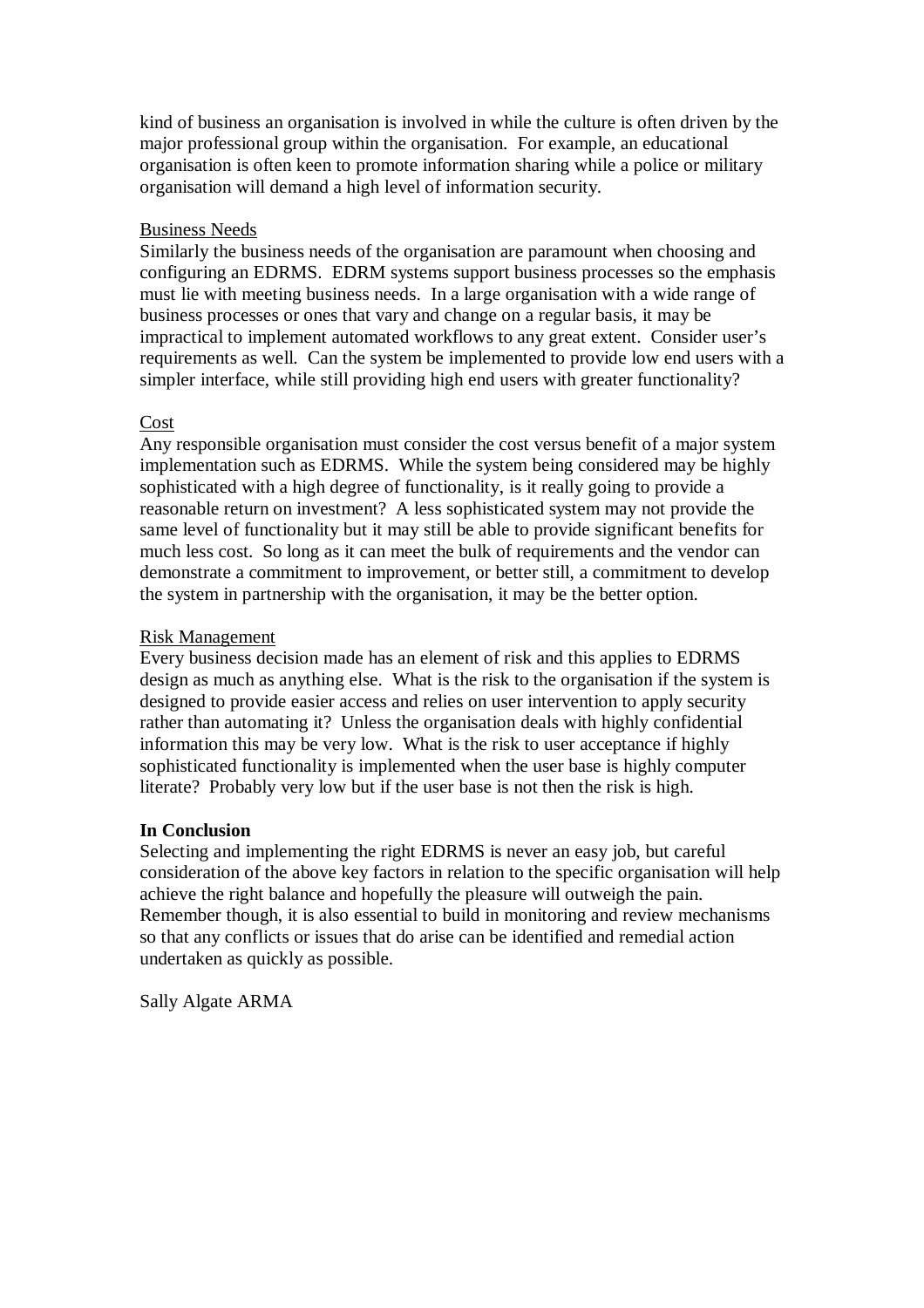kind of business an organisation is involved in while the culture is often driven by the major professional group within the organisation. For example, an educational organisation is often keen to promote information sharing while a police or military organisation will demand a high level of information security.

# Business Needs

Similarly the business needs of the organisation are paramount when choosing and configuring an EDRMS. EDRM systems support business processes so the emphasis must lie with meeting business needs. In a large organisation with a wide range of business processes or ones that vary and change on a regular basis, it may be impractical to implement automated workflows to any great extent. Consider user's requirements as well. Can the system be implemented to provide low end users with a simpler interface, while still providing high end users with greater functionality?

# Cost

Any responsible organisation must consider the cost versus benefit of a major system implementation such as EDRMS. While the system being considered may be highly sophisticated with a high degree of functionality, is it really going to provide a reasonable return on investment? A less sophisticated system may not provide the same level of functionality but it may still be able to provide significant benefits for much less cost. So long as it can meet the bulk of requirements and the vendor can demonstrate a commitment to improvement, or better still, a commitment to develop the system in partnership with the organisation, it may be the better option.

# Risk Management

Every business decision made has an element of risk and this applies to EDRMS design as much as anything else. What is the risk to the organisation if the system is designed to provide easier access and relies on user intervention to apply security rather than automating it? Unless the organisation deals with highly confidential information this may be very low. What is the risk to user acceptance if highly sophisticated functionality is implemented when the user base is highly computer literate? Probably very low but if the user base is not then the risk is high.

#### **In Conclusion**

Selecting and implementing the right EDRMS is never an easy job, but careful consideration of the above key factors in relation to the specific organisation will help achieve the right balance and hopefully the pleasure will outweigh the pain. Remember though, it is also essential to build in monitoring and review mechanisms so that any conflicts or issues that do arise can be identified and remedial action undertaken as quickly as possible.

Sally Algate ARMA